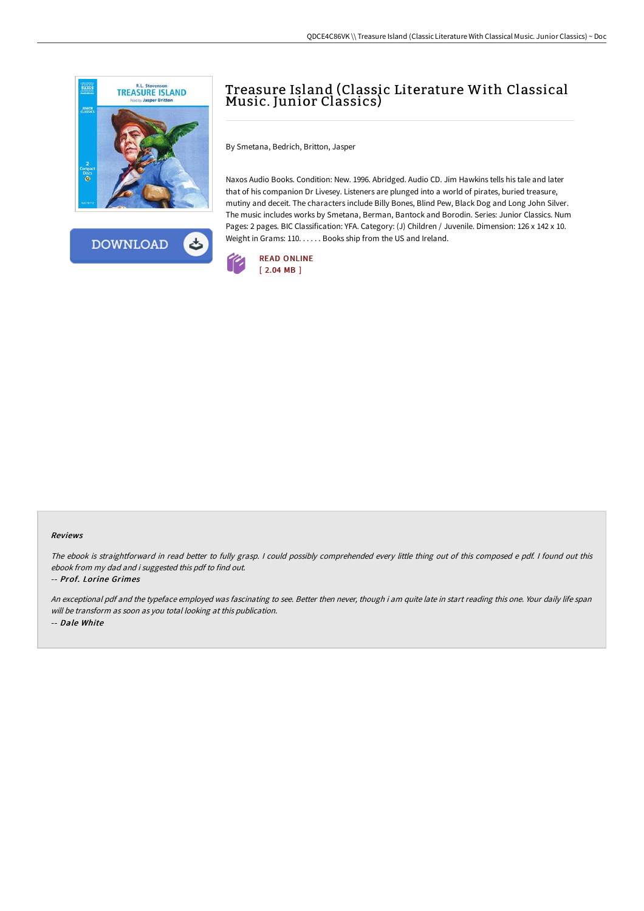



# Treasure Island (Classic Literature With Classical Music. Junior Classics)

By Smetana, Bedrich, Britton, Jasper

Naxos Audio Books. Condition: New. 1996. Abridged. Audio CD. Jim Hawkins tells his tale and later that of his companion Dr Livesey. Listeners are plunged into a world of pirates, buried treasure, mutiny and deceit. The characters include Billy Bones, Blind Pew, Black Dog and Long John Silver. The music includes works by Smetana, Berman, Bantock and Borodin. Series: Junior Classics. Num Pages: 2 pages. BIC Classification: YFA. Category: (J) Children / Juvenile. Dimension: 126 x 142 x 10. Weight in Grams: 110. . . . . . Books ship from the US and Ireland.



#### Reviews

The ebook is straightforward in read better to fully grasp. I could possibly comprehended every little thing out of this composed e pdf. I found out this ebook from my dad and i suggested this pdf to find out.

#### -- Prof. Lorine Grimes

An exceptional pdf and the typeface employed was fascinating to see. Better then never, though i am quite late in start reading this one. Your daily life span will be transform as soon as you total looking at this publication. -- Dale White